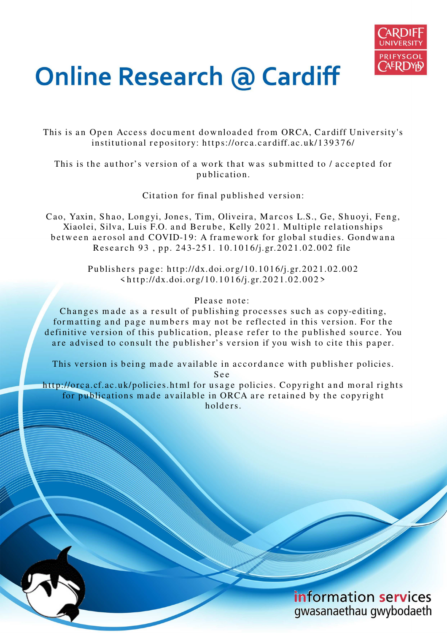

# **Online Research @ Cardiff**

This is an Open Access document downloaded from ORCA, Cardiff University's institutional repository: https://orca.cardiff.ac.uk/139376/

This is the author's version of a work that was submitted to / accepted for p u blication.

Citation for final published version:

Cao, Yaxin, Shao, Longyi, Jones, Tim, Oliveira, Marcos L.S., Ge, Shuoyi, Feng, Xiaolei, Silva, Luis F.O. and Berube, Kelly 2021. Multiple relationships between aerosol and COVID-19: A framework for global studies. Gondwana Research 93, pp. 243-251. 10.1016/j.gr.2021.02.002 file

> Publishers page: http://dx.doi.org/10.1016/j.gr.2021.02.002  $\frac{\text{th}}{\text{ttp}}$ ://dx.doi.org/10.1016/j.gr.2021.02.002>

# Please note:

Changes made as a result of publishing processes such as copy-editing, formatting and page numbers may not be reflected in this version. For the definitive version of this publication, please refer to the published source. You are advised to consult the publisher's version if you wish to cite this paper.

This version is being made available in accordance with publisher policies.

S e e

http://orca.cf.ac.uk/policies.html for usage policies. Copyright and moral rights for publications made available in ORCA are retained by the copyright holders

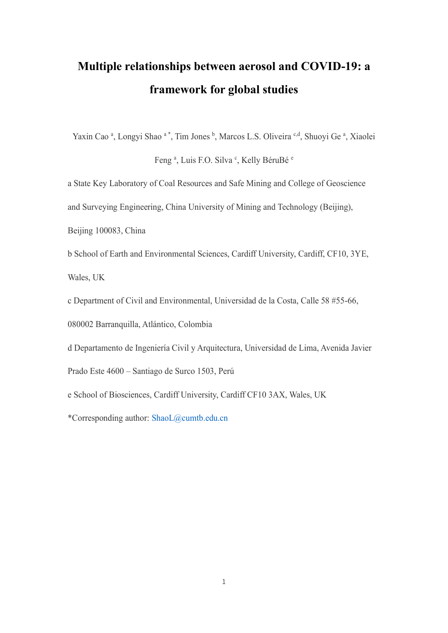# **Multiple relationships between aerosol and COVID-19: a framework for global studies**

Yaxin Cao<sup>a</sup>, Longyi Shao<sup>a\*</sup>, Tim Jones<sup>b</sup>, Marcos L.S. Oliveira<sup>c,d</sup>, Shuoyi Ge<sup>a</sup>, Xiaolei

Feng<sup>a</sup>, Luis F.O. Silva<sup>c</sup>, Kelly BéruBé<sup>e</sup>

a State Key Laboratory of Coal Resources and Safe Mining and College of Geoscience

and Surveying Engineering, China University of Mining and Technology (Beijing),

Beijing 100083, China

b School of Earth and Environmental Sciences, Cardiff University, Cardiff, CF10, 3YE, Wales, UK

c Department of Civil and Environmental, Universidad de la Costa, Calle 58 #55-66,

080002 Barranquilla, Atlántico, Colombia

d Departamento de Ingeniería Civil y Arquitectura, Universidad de Lima, Avenida Javier

Prado Este 4600 – Santiago de Surco 1503, Perú

e School of Biosciences, Cardiff University, Cardiff CF10 3AX, Wales, UK

\*Corresponding author: [ShaoL@cumtb.edu.cn](mailto:ShaoL@cumtb.edu.cn)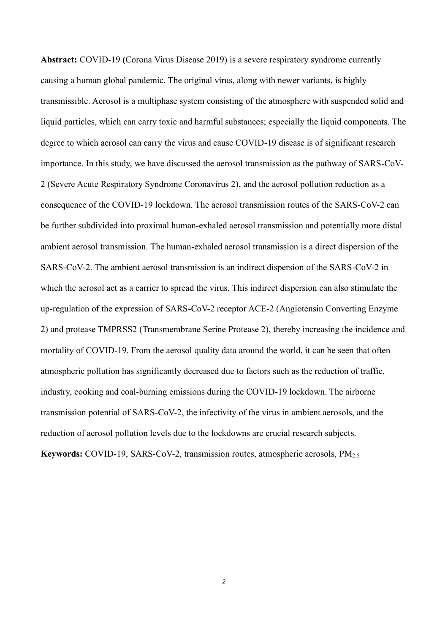**Abstract:** COVID-19 **(**Corona Virus Disease 2019) is a severe respiratory syndrome currently causing a human global pandemic. The original virus, along with newer variants, is highly transmissible. Aerosol is a multiphase system consisting of the atmosphere with suspended solid and liquid particles, which can carry toxic and harmful substances; especially the liquid components. The degree to which aerosol can carry the virus and cause COVID-19 disease is of significant research importance. In this study, we have discussed the aerosol transmission as the pathway of SARS-CoV-2 (Severe Acute Respiratory Syndrome Coronavirus 2), and the aerosol pollution reduction as a consequence of the COVID-19 lockdown. The aerosol transmission routes of the SARS-CoV-2 can be further subdivided into proximal human-exhaled aerosol transmission and potentially more distal ambient aerosol transmission. The human-exhaled aerosol transmission is a direct dispersion of the SARS-CoV-2. The ambient aerosol transmission is an indirect dispersion of the SARS-CoV-2 in which the aerosol act as a carrier to spread the virus. This indirect dispersion can also stimulate the up-regulation of the expression of SARS-CoV-2 receptor ACE-2 (Angiotensin Converting Enzyme 2) and protease TMPRSS2 (Transmembrane Serine Protease 2), thereby increasing the incidence and mortality of COVID-19. From the aerosol quality data around the world, it can be seen that often atmospheric pollution has significantly decreased due to factors such as the reduction of traffic, industry, cooking and coal-burning emissions during the COVID-19 lockdown. The airborne transmission potential of SARS-CoV-2, the infectivity of the virus in ambient aerosols, and the reduction of aerosol pollution levels due to the lockdowns are crucial research subjects. **Keywords:** COVID-19, SARS-CoV-2, transmission routes, atmospheric aerosols, PM2.5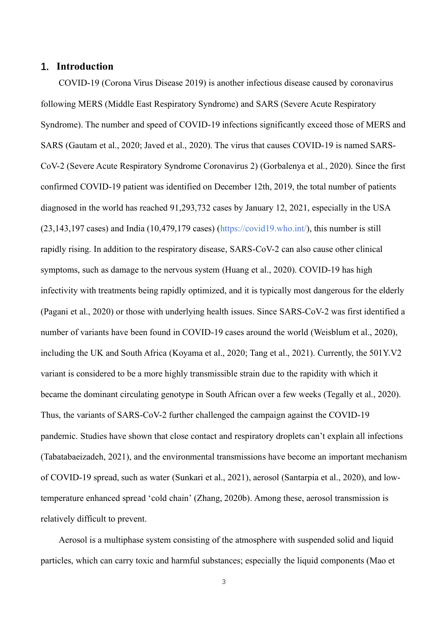# **1. Introduction**

COVID-19 (Corona Virus Disease 2019) is another infectious disease caused by coronavirus following MERS (Middle East Respiratory Syndrome) and SARS (Severe Acute Respiratory Syndrome). The number and speed of COVID-19 infections significantly exceed those of MERS and SARS (Gautam et al., 2020; Javed et al., 2020). The virus that causes COVID-19 is named SARS-CoV-2 (Severe Acute Respiratory Syndrome Coronavirus 2) (Gorbalenya et al., 2020). Since the first confirmed COVID-19 patient was identified on December 12th, 2019, the total number of patients diagnosed in the world has reached 91,293,732 cases by January 12, 2021, especially in the USA (23,143,197 cases) and India (10,479,179 cases) (https://covid19.who.int/), this number is still rapidly rising. In addition to the respiratory disease, SARS-CoV-2 can also cause other clinical symptoms, such as damage to the nervous system (Huang et al., 2020). COVID-19 has high infectivity with treatments being rapidly optimized, and it is typically most dangerous for the elderly (Pagani et al., 2020) or those with underlying health issues. Since SARS-CoV-2 was first identified a number of variants have been found in COVID-19 cases around the world (Weisblum et al., 2020), including the UK and South Africa (Koyama et al., 2020; Tang et al., 2021). Currently, the 501Y.V2 variant is considered to be a more highly transmissible strain due to the rapidity with which it became the dominant circulating genotype in South African over a few weeks (Tegally et al., 2020). Thus, the variants of SARS-CoV-2 further challenged the campaign against the COVID-19 pandemic. Studies have shown that close contact and respiratory droplets can't explain all infections (Tabatabaeizadeh, 2021), and the environmental transmissions have become an important mechanism of COVID-19 spread, such as water (Sunkari et al., 2021), aerosol (Santarpia et al., 2020), and lowtemperature enhanced spread 'cold chain' (Zhang, 2020b). Among these, aerosol transmission is relatively difficult to prevent.

Aerosol is a multiphase system consisting of the atmosphere with suspended solid and liquid particles, which can carry toxic and harmful substances; especially the liquid components (Mao et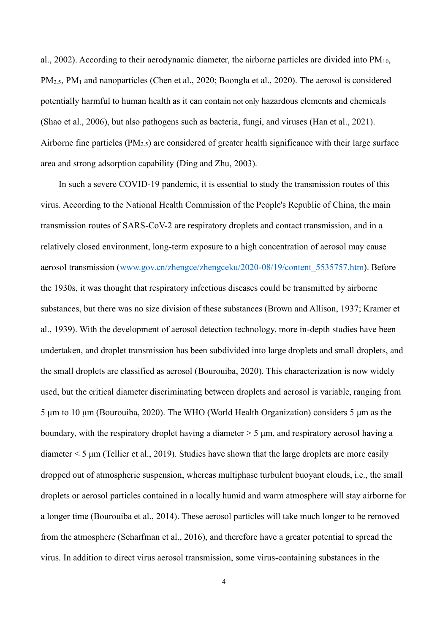al., 2002). According to their aerodynamic diameter, the airborne particles are divided into  $PM_{10}$ , PM2.5, PM1 and nanoparticles (Chen et al., 2020; Boongla et al., 2020). The aerosol is considered potentially harmful to human health as it can contain not only hazardous elements and chemicals (Shao et al., 2006), but also pathogens such as bacteria, fungi, and viruses (Han et al., 2021). Airborne fine particles (PM2.5) are considered of greater health significance with their large surface area and strong adsorption capability (Ding and Zhu, 2003).

In such a severe COVID-19 pandemic, it is essential to study the transmission routes of this virus. According to the National Health Commission of the People's Republic of China, the main transmission routes of SARS-CoV-2 are respiratory droplets and contact transmission, and in a relatively closed environment, long-term exposure to a high concentration of aerosol may cause aerosol transmission [\(www.gov.cn/zhengce/zhengceku/2020-08/19/content\\_5535757.htm\)](http://www.gov.cn/zhengce/zhengceku/2020-08/19/content_5535757.htm). Before the 1930s, it was thought that respiratory infectious diseases could be transmitted by airborne substances, but there was no size division of these substances (Brown and Allison, 1937; Kramer et al., 1939). With the development of aerosol detection technology, more in-depth studies have been undertaken, and droplet transmission has been subdivided into large droplets and small droplets, and the small droplets are classified as aerosol [\(Bourouiba, 2020\)](#page-20-0). This characterization is now widely used, but the critical diameter discriminating between droplets and aerosol is variable, ranging from 5 μm to 10 μm (Bourouiba, 2020). The WHO (World Health Organization) considers 5 μm as the boundary, with the respiratory droplet having a diameter > 5 μm, and respiratory aerosol having a diameter < 5 μm (Tellier et al., 2019). Studies have shown that the large droplets are more easily dropped out of atmospheric suspension, whereas multiphase turbulent buoyant clouds, i.e., the small droplets or aerosol particles contained in a locally humid and warm atmosphere will stay airborne for a longer time (Bourouiba et al., 2014). These aerosol particles will take much longer to be removed from the atmosphere (Scharfman et al., 2016), and therefore have a greater potential to spread the virus. In addition to direct virus aerosol transmission, some virus-containing substances in the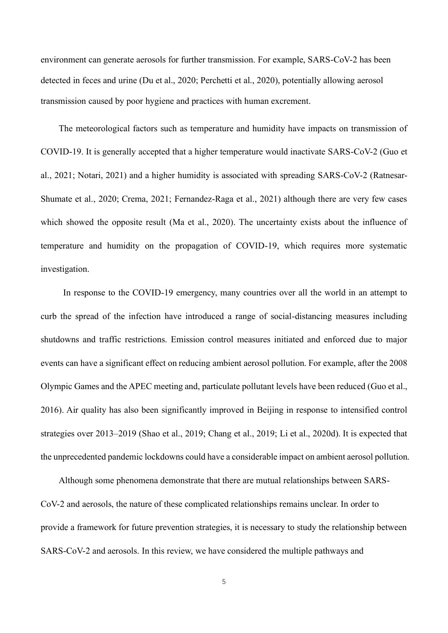environment can generate aerosols for further transmission. For example, SARS-CoV-2 has been detected in feces and urine (Du et al., 2020; Perchetti et al., 2020), potentially allowing aerosol transmission caused by poor hygiene and practices with human excrement.

The meteorological factors such as temperature and humidity have impacts on transmission of COVID-19. It is generally accepted that a higher temperature would inactivate SARS-CoV-2 (Guo et al., 2021; Notari, 2021) and a higher humidity is associated with spreading SARS-CoV-2 (Ratnesar-Shumate et al., 2020; Crema, 2021; Fernandez-Raga et al., 2021) although there are very few cases which showed the opposite result (Ma et al., 2020). The uncertainty exists about the influence of temperature and humidity on the propagation of COVID-19, which requires more systematic investigation.

 In response to the COVID-19 emergency, many countries over all the world in an attempt to curb the spread of the infection have introduced a range of social-distancing measures including shutdowns and traffic restrictions. Emission control measures initiated and enforced due to major events can have a significant effect on reducing ambient aerosol pollution. For example, after the 2008 Olympic Games and the APEC meeting and, particulate pollutant levels have been reduced (Guo et al., 2016). Air quality has also been significantly improved in Beijing in response to intensified control strategies over 2013–2019 (Shao et al., 2019; Chang et al., 2019; Li et al., 2020d). It is expected that the unprecedented pandemic lockdowns could have a considerable impact on ambient aerosol pollution.

Although some phenomena demonstrate that there are mutual relationships between SARS-CoV-2 and aerosols, the nature of these complicated relationships remains unclear. In order to provide a framework for future prevention strategies, it is necessary to study the relationship between SARS-CoV-2 and aerosols. In this review, we have considered the multiple pathways and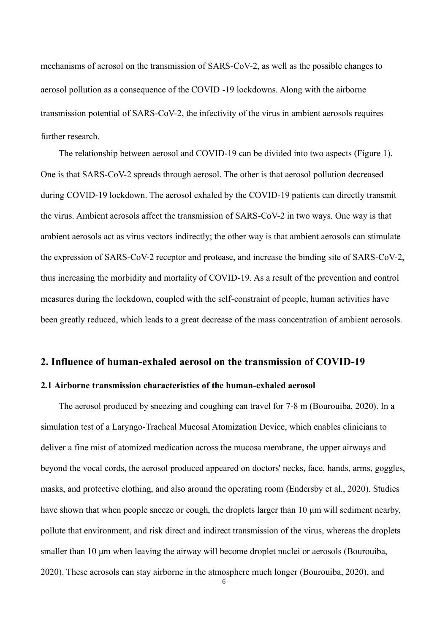mechanisms of aerosol on the transmission of SARS-CoV-2, as well as the possible changes to aerosol pollution as a consequence of the COVID -19 lockdowns. Along with the airborne transmission potential of SARS-CoV-2, the infectivity of the virus in ambient aerosols requires further research.

The relationship between aerosol and COVID-19 can be divided into two aspects (Figure 1). One is that SARS-CoV-2 spreads through aerosol. The other is that aerosol pollution decreased during COVID-19 lockdown. The aerosol exhaled by the COVID-19 patients can directly transmit the virus. Ambient aerosols affect the transmission of SARS-CoV-2 in two ways. One way is that ambient aerosols act as virus vectors indirectly; the other way is that ambient aerosols can stimulate the expression of SARS-CoV-2 receptor and protease, and increase the binding site of SARS-CoV-2, thus increasing the morbidity and mortality of COVID-19. As a result of the prevention and control measures during the lockdown, coupled with the self-constraint of people, human activities have been greatly reduced, which leads to a great decrease of the mass concentration of ambient aerosols.

#### **2. Influence of human-exhaled aerosol on the transmission of COVID-19**

#### **2.1 Airborne transmission characteristics of the human-exhaled aerosol**

The aerosol produced by sneezing and coughing can travel for 7-8 m (Bourouiba, 2020). In a simulation test of a Laryngo-Tracheal Mucosal Atomization Device, which enables clinicians to deliver a fine mist of atomized medication across the mucosa membrane, the upper airways and beyond the vocal cords, the aerosol produced appeared on doctors' necks, face, hands, arms, goggles, masks, and protective clothing, and also around the operating room (Endersby et al., 2020). Studies have shown that when people sneeze or cough, the droplets larger than 10 μm will sediment nearby, pollute that environment, and risk direct and indirect transmission of the virus, whereas the droplets smaller than 10 μm when leaving the airway will become droplet nuclei or aerosols [\(Bourouiba,](#page-20-0)  [2020\)](#page-20-0). These aerosols can stay airborne in the atmosphere much longer (Bourouiba, 2020), and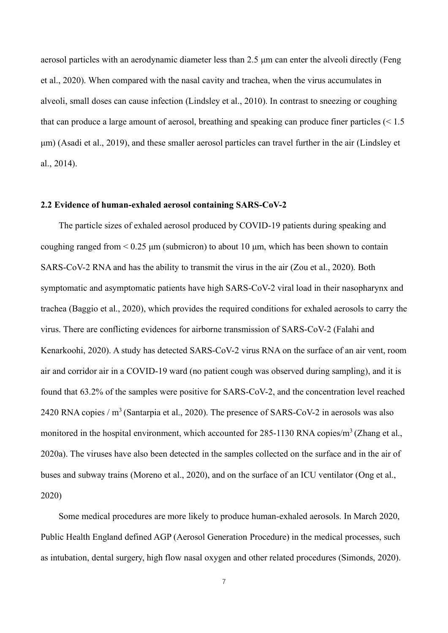aerosol particles with an aerodynamic diameter less than 2.5 μm can enter the alveoli directly (Feng et al., 2020). When compared with the nasal cavity and trachea, when the virus accumulates in alveoli, small doses can cause infection (Lindsley et al., 2010). In contrast to sneezing or coughing that can produce a large amount of aerosol, breathing and speaking can produce finer particles (< 1.5 μm) (Asadi et al., 2019), and these smaller aerosol particles can travel further in the air (Lindsley et al., 2014).

#### **2.2 Evidence of human-exhaled aerosol containing SARS-CoV-2**

The particle sizes of exhaled aerosol produced by COVID-19 patients during speaking and coughing ranged from  $\leq 0.25$   $\mu$ m (submicron) to about 10  $\mu$ m, which has been shown to contain SARS-CoV-2 RNA and has the ability to transmit the virus in the air (Zou et al., 2020). Both symptomatic and asymptomatic patients have high SARS-CoV-2 viral load in their nasopharynx and trachea (Baggio et al., 2020), which provides the required conditions for exhaled aerosols to carry the virus. There are conflicting evidences for airborne transmission of SARS-CoV-2 (Falahi and Kenarkoohi, 2020). A study has detected SARS-CoV-2 virus RNA on the surface of an air vent, room air and corridor air in a COVID-19 ward (no patient cough was observed during sampling), and it is found that 63.2% of the samples were positive for SARS-CoV-2, and the concentration level reached 2420 RNA copies /  $m<sup>3</sup>$  (Santarpia et al., 2020). The presence of SARS-CoV-2 in aerosols was also monitored in the hospital environment, which accounted for 285-1130 RNA copies/m<sup>3</sup> (Zhang et al., 2020a). The viruses have also been detected in the samples collected on the surface and in the air of buses and subway trains (Moreno et al., 2020), and on the surface of an ICU ventilator (Ong et al., 2020)

Some medical procedures are more likely to produce human-exhaled aerosols. In March 2020, Public Health England defined AGP (Aerosol Generation Procedure) in the medical processes, such as intubation, dental surgery, high flow nasal oxygen and other related procedures (Simonds, 2020).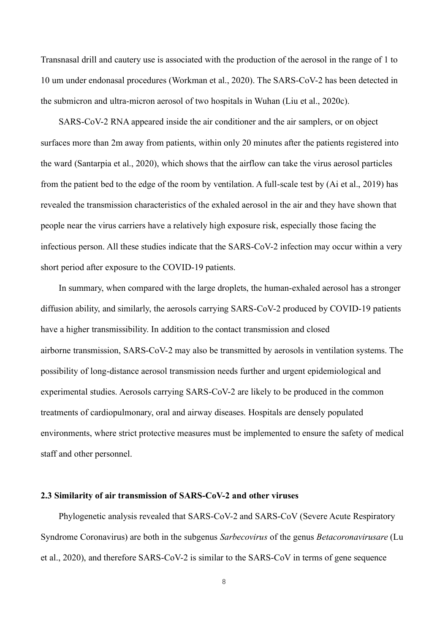Transnasal drill and cautery use is associated with the production of the aerosol in the range of 1 to 10 um under endonasal procedures (Workman et al., 2020). The SARS-CoV-2 has been detected in the submicron and ultra-micron aerosol of two hospitals in Wuhan (Liu et al., 2020c).

SARS-CoV-2 RNA appeared inside the air conditioner and the air samplers, or on object surfaces more than 2m away from patients, within only 20 minutes after the patients registered into the ward (Santarpia et al., 2020), which shows that the airflow can take the virus aerosol particles from the patient bed to the edge of the room by ventilation. A full-scale test by (Ai et al., 2019) has revealed the transmission characteristics of the exhaled aerosol in the air and they have shown that people near the virus carriers have a relatively high exposure risk, especially those facing the infectious person. All these studies indicate that the SARS-CoV-2 infection may occur within a very short period after exposure to the COVID-19 patients.

In summary, when compared with the large droplets, the human-exhaled aerosol has a stronger diffusion ability, and similarly, the aerosols carrying SARS-CoV-2 produced by COVID-19 patients have a higher transmissibility. In addition to the contact transmission and closed airborne transmission, SARS-CoV-2 may also be transmitted by aerosols in ventilation systems. The possibility of long-distance aerosol transmission needs further and urgent epidemiological and experimental studies. Aerosols carrying SARS-CoV-2 are likely to be produced in the common treatments of cardiopulmonary, oral and airway diseases. Hospitals are densely populated environments, where strict protective measures must be implemented to ensure the safety of medical staff and other personnel.

#### **2.3 Similarity of air transmission of SARS-CoV-2 and other viruses**

Phylogenetic analysis revealed that SARS-CoV-2 and SARS-CoV (Severe Acute Respiratory Syndrome Coronavirus) are both in the subgenus *Sarbecovirus* of the genus *Betacoronavirusare* (Lu et al., 2020), and therefore SARS-CoV-2 is similar to the SARS-CoV in terms of gene sequence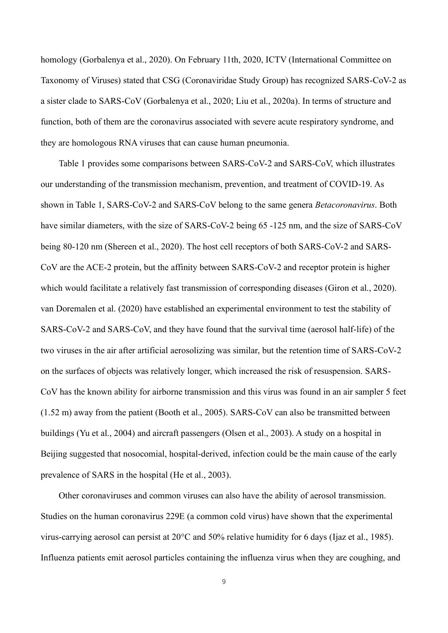homology (Gorbalenya et al., 2020). On February 11th, 2020, ICTV (International Committee on Taxonomy of Viruses) stated that CSG (Coronaviridae Study Group) has recognized SARS-CoV-2 as a sister clade to SARS-CoV (Gorbalenya et al., 2020; Liu et al., 2020a). In terms of structure and function, both of them are the coronavirus associated with severe acute respiratory syndrome, and they are homologous RNA viruses that can cause human pneumonia.

Table 1 provides some comparisons between SARS-CoV-2 and SARS-CoV, which illustrates our understanding of the transmission mechanism, prevention, and treatment of COVID-19. As shown in Table 1, SARS-CoV-2 and SARS-CoV belong to the same genera *Betacoronavirus*. Both have similar diameters, with the size of SARS-CoV-2 being 65 -125 nm, and the size of SARS-CoV being 80-120 nm (Shereen et al., 2020). The host cell receptors of both SARS-CoV-2 and SARS-CoV are the ACE-2 protein, but the affinity between SARS-CoV-2 and receptor protein is higher which would facilitate a relatively fast transmission of corresponding diseases (Giron et al., 2020). van Doremalen et al. (2020) have established an experimental environment to test the stability of SARS-CoV-2 and SARS-CoV, and they have found that the survival time (aerosol half-life) of the two viruses in the air after artificial aerosolizing was similar, but the retention time of SARS-CoV-2 on the surfaces of objects was relatively longer, which increased the risk of resuspension. SARS-CoV has the known ability for airborne transmission and this virus was found in an air sampler 5 feet (1.52 m) away from the patient (Booth et al., 2005). SARS-CoV can also be transmitted between buildings (Yu et al., 2004) and aircraft passengers (Olsen et al., 2003). A study on a hospital in Beijing suggested that nosocomial, hospital-derived, infection could be the main cause of the early prevalence of SARS in the hospital (He et al., 2003).

Other coronaviruses and common viruses can also have the ability of aerosol transmission. Studies on the human coronavirus 229E (a common cold virus) have shown that the experimental virus-carrying aerosol can persist at 20°C and 50% relative humidity for 6 days (Ijaz et al., 1985). Influenza patients emit aerosol particles containing the influenza virus when they are coughing, and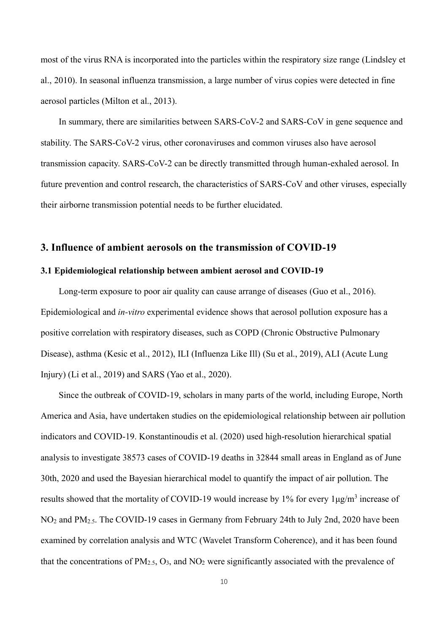most of the virus RNA is incorporated into the particles within the respiratory size range (Lindsley et al., 2010). In seasonal influenza transmission, a large number of virus copies were detected in fine aerosol particles (Milton et al., 2013).

In summary, there are similarities between SARS-CoV-2 and SARS-CoV in gene sequence and stability. The SARS-CoV-2 virus, other coronaviruses and common viruses also have aerosol transmission capacity. SARS-CoV-2 can be directly transmitted through human-exhaled aerosol. In future prevention and control research, the characteristics of SARS-CoV and other viruses, especially their airborne transmission potential needs to be further elucidated.

#### **3. Influence of ambient aerosols on the transmission of COVID-19**

#### **3.1 Epidemiological relationship between ambient aerosol and COVID-19**

Long-term exposure to poor air quality can cause arrange of diseases (Guo et al., 2016). Epidemiological and *in-vitro* experimental evidence shows that aerosol pollution exposure has a positive correlation with respiratory diseases, such as COPD (Chronic Obstructive Pulmonary Disease), asthma (Kesic et al., 2012), ILI (Influenza Like Ill) (Su et al., 2019), ALI (Acute Lung Injury) (Li et al., 2019) and SARS (Yao et al., 2020).

Since the outbreak of COVID-19, scholars in many parts of the world, including Europe, North America and Asia, have undertaken studies on the epidemiological relationship between air pollution indicators and COVID-19. Konstantinoudis et al. (2020) used high-resolution hierarchical spatial analysis to investigate 38573 cases of COVID-19 deaths in 32844 small areas in England as of June 30th, 2020 and used the Bayesian hierarchical model to quantify the impact of air pollution. The results showed that the mortality of COVID-19 would increase by 1% for every  $1\mu g/m^3$  increase of NO2 and PM2.5. The COVID-19 cases in Germany from February 24th to July 2nd, 2020 have been examined by correlation analysis and WTC (Wavelet Transform Coherence), and it has been found that the concentrations of  $PM_{2.5}$ ,  $O_3$ , and  $NO_2$  were significantly associated with the prevalence of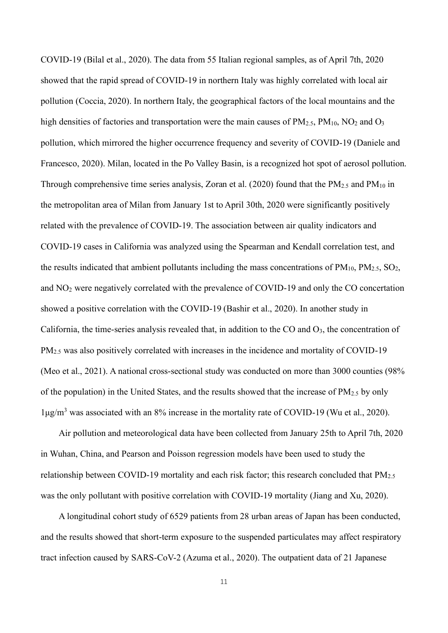COVID-19 (Bilal et al., 2020). The data from 55 Italian regional samples, as of April 7th, 2020 showed that the rapid spread of COVID-19 in northern Italy was highly correlated with local air pollution (Coccia, 2020). In northern Italy, the geographical factors of the local mountains and the high densities of factories and transportation were the main causes of  $PM_{2.5}$ ,  $PM_{10}$ ,  $NO_2$  and  $O_3$ pollution, which mirrored the higher occurrence frequency and severity of COVID-19 (Daniele and Francesco, 2020). Milan, located in the Po Valley Basin, is a recognized hot spot of aerosol pollution. Through comprehensive time series analysis, Zoran et al. [\(2020\)](#page-28-0) found that the  $PM_{2.5}$  and  $PM_{10}$  in the metropolitan area of Milan from January 1st to April 30th, 2020 were significantly positively related with the prevalence of COVID-19. The association between air quality indicators and COVID-19 cases in California was analyzed using the Spearman and Kendall correlation test, and the results indicated that ambient pollutants including the mass concentrations of  $PM_{10}$ ,  $PM_{2.5}$ ,  $SO_2$ , and NO2 were negatively correlated with the prevalence of COVID-19 and only the CO concertation showed a positive correlation with the COVID-19 (Bashir et al., 2020). In another study in California, the time-series analysis revealed that, in addition to the CO and O3, the concentration of PM<sub>2.5</sub> was also positively correlated with increases in the incidence and mortality of COVID-19 (Meo et al., 2021). A national cross-sectional study was conducted on more than 3000 counties (98% of the population) in the United States, and the results showed that the increase of  $PM_{2.5}$  by only 1μg/m<sup>3</sup> was associated with an 8% increase in the mortality rate of COVID-19 (Wu et al., 2020).

Air pollution and meteorological data have been collected from January 25th to April 7th, 2020 in Wuhan, China, and Pearson and Poisson regression models have been used to study the relationship between COVID-19 mortality and each risk factor; this research concluded that  $PM_{2.5}$ was the only pollutant with positive correlation with COVID-19 mortality (Jiang and Xu, 2020).

A longitudinal cohort study of 6529 patients from 28 urban areas of Japan has been conducted, and the results showed that short-term exposure to the suspended particulates may affect respiratory tract infection caused by SARS-CoV-2 (Azuma et al., 2020). The outpatient data of 21 Japanese

11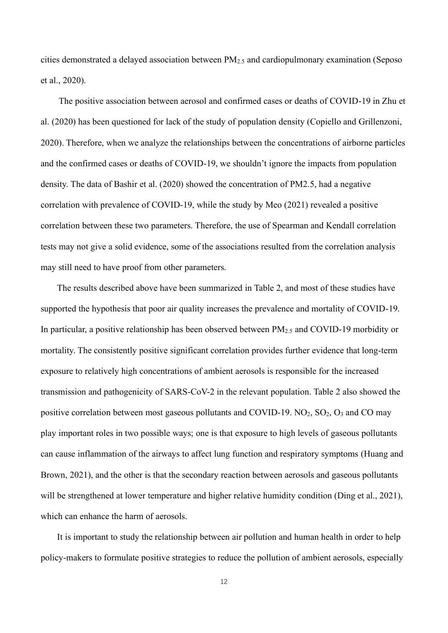cities demonstrated a delayed association between PM2.5 and cardiopulmonary examination (Seposo et al., 2020).

The positive association between aerosol and confirmed cases or deaths of COVID-19 in Zhu et al. (2020) has been questioned for lack of the study of population density (Copiello and Grillenzoni, 2020). Therefore, when we analyze the relationships between the concentrations of airborne particles and the confirmed cases or deaths of COVID-19, we shouldn't ignore the impacts from population density. The data of Bashir et al. (2020) showed the concentration of PM2.5, had a negative correlation with prevalence of COVID-19, while the study by Meo (2021) revealed a positive correlation between these two parameters. Therefore, the use of Spearman and Kendall correlation tests may not give a solid evidence, some of the associations resulted from the correlation analysis may still need to have proof from other parameters.

The results described above have been summarized in Table 2, and most of these studies have supported the hypothesis that poor air quality increases the prevalence and mortality of COVID-19. In particular, a positive relationship has been observed between PM2.5 and COVID-19 morbidity or mortality. The consistently positive significant correlation provides further evidence that long-term exposure to relatively high concentrations of ambient aerosols is responsible for the increased transmission and pathogenicity of SARS-CoV-2 in the relevant population. Table 2 also showed the positive correlation between most gaseous pollutants and COVID-19.  $NO_2$ ,  $SO_2$ ,  $O_3$  and CO may play important roles in two possible ways; one is that exposure to high levels of gaseous pollutants can cause inflammation of the airways to affect lung function and respiratory symptoms (Huang and Brown, 2021), and the other is that the secondary reaction between aerosols and gaseous pollutants will be strengthened at lower temperature and higher relative humidity condition (Ding et al., 2021), which can enhance the harm of aerosols.

It is important to study the relationship between air pollution and human health in order to help policy-makers to formulate positive strategies to reduce the pollution of ambient aerosols, especially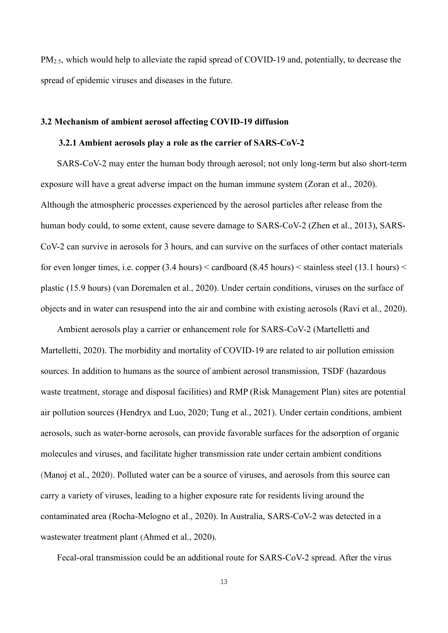PM<sub>2.5</sub>, which would help to alleviate the rapid spread of COVID-19 and, potentially, to decrease the spread of epidemic viruses and diseases in the future.

#### **3.2 Mechanism of ambient aerosol affecting COVID-19 diffusion**

#### **3.2.1 Ambient aerosols play a role as the carrier of SARS-CoV-2**

SARS-CoV-2 may enter the human body through aerosol; not only long-term but also short-term exposure will have a great adverse impact on the human immune system (Zoran et al., 2020). Although the atmospheric processes experienced by the aerosol particles after release from the human body could, to some extent, cause severe damage to SARS-CoV-2 (Zhen et al., 2013), SARS-CoV-2 can survive in aerosols for 3 hours, and can survive on the surfaces of other contact materials for even longer times, i.e. copper  $(3.4 \text{ hours}) <$  cardboard  $(8.45 \text{ hours}) <$  stainless steel  $(13.1 \text{ hours}) <$ plastic (15.9 hours) (van Doremalen et al., 2020). Under certain conditions, viruses on the surface of objects and in water can resuspend into the air and combine with existing aerosols (Ravi et al., 2020).

Ambient aerosols play a carrier or enhancement role for SARS-CoV-2 (Martelletti and Martelletti, 2020). The morbidity and mortality of COVID-19 are related to air pollution emission sources. In addition to humans as the source of ambient aerosol transmission, TSDF (hazardous waste treatment, storage and disposal facilities) and RMP (Risk Management Plan) sites are potential air pollution sources (Hendryx and Luo, 2020; Tung et al., 2021). Under certain conditions, ambient aerosols, such as water-borne aerosols, can provide favorable surfaces for the adsorption of organic molecules and viruses, and facilitate higher transmission rate under certain ambient conditions (Manoj et al., 2020). Polluted water can be a source of viruses, and aerosols from this source can carry a variety of viruses, leading to a higher exposure rate for residents living around the contaminated area (Rocha-Melogno et al., 2020). In Australia, SARS-CoV-2 was detected in a wastewater treatment plant (Ahmed et al., 2020).

Fecal-oral transmission could be an additional route for SARS-CoV-2 spread. After the virus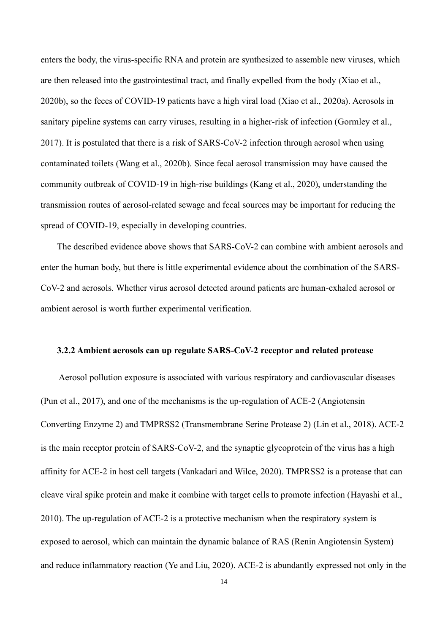enters the body, the virus-specific RNA and protein are synthesized to assemble new viruses, which are then released into the gastrointestinal tract, and finally expelled from the body (Xiao et al., 2020b), so the feces of COVID-19 patients have a high viral load (Xiao et al., 2020a). Aerosols in sanitary pipeline systems can carry viruses, resulting in a higher-risk of infection (Gormley et al., 2017). It is postulated that there is a risk of SARS-CoV-2 infection through aerosol when using contaminated toilets (Wang et al., 2020b). Since fecal aerosol transmission may have caused the community outbreak of COVID-19 in high-rise buildings (Kang et al., 2020), understanding the transmission routes of aerosol-related sewage and fecal sources may be important for reducing the spread of COVID-19, especially in developing countries.

The described evidence above shows that SARS-CoV-2 can combine with ambient aerosols and enter the human body, but there is little experimental evidence about the combination of the SARS-CoV-2 and aerosols. Whether virus aerosol detected around patients are human-exhaled aerosol or ambient aerosol is worth further experimental verification.

#### **3.2.2 Ambient aerosols can up regulate SARS-CoV-2 receptor and related protease**

Aerosol pollution exposure is associated with various respiratory and cardiovascular diseases (Pun et al., 2017), and one of the mechanisms is the up-regulation of ACE-2 (Angiotensin Converting Enzyme 2) and TMPRSS2 (Transmembrane Serine Protease 2) (Lin et al., 2018). ACE-2 is the main receptor protein of SARS-CoV-2, and the synaptic glycoprotein of the virus has a high affinity for ACE-2 in host cell targets (Vankadari and Wilce, 2020). TMPRSS2 is a protease that can cleave viral spike protein and make it combine with target cells to promote infection (Hayashi et al., 2010). The up-regulation of ACE-2 is a protective mechanism when the respiratory system is exposed to aerosol, which can maintain the dynamic balance of RAS (Renin Angiotensin System) and reduce inflammatory reaction (Ye and Liu, 2020). ACE-2 is abundantly expressed not only in the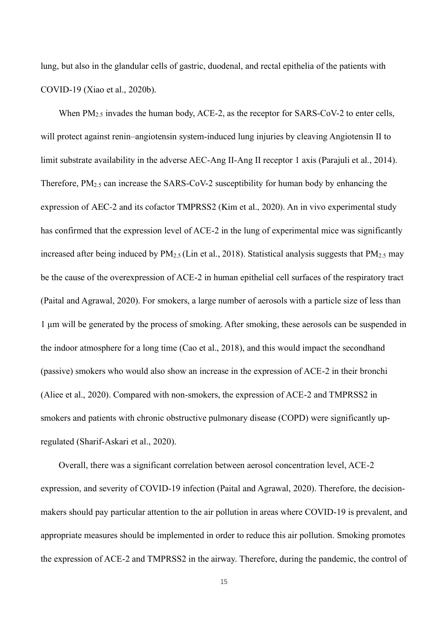lung, but also in the glandular cells of gastric, duodenal, and rectal epithelia of the patients with COVID-19 (Xiao et al., 2020b).

When PM<sub>2.5</sub> invades the human body, ACE-2, as the receptor for SARS-CoV-2 to enter cells, will protect against renin–angiotensin system-induced lung injuries by cleaving Angiotensin II to limit substrate availability in the adverse AEC-Ang II-Ang II receptor 1 axis (Parajuli et al., 2014). Therefore, PM<sub>2.5</sub> can increase the SARS-CoV-2 susceptibility for human body by enhancing the expression of AEC-2 and its cofactor TMPRSS2 (Kim et al., 2020). An in vivo experimental study has confirmed that the expression level of ACE-2 in the lung of experimental mice was significantly increased after being induced by  $PM_{2.5}$  (Lin et al., 2018). Statistical analysis suggests that  $PM_{2.5}$  may be the cause of the overexpression of ACE-2 in human epithelial cell surfaces of the respiratory tract (Paital and Agrawal, 2020). For smokers, a large number of aerosols with a particle size of less than 1 μm will be generated by the process of smoking. After smoking, these aerosols can be suspended in the indoor atmosphere for a long time (Cao et al., 2018), and this would impact the secondhand (passive) smokers who would also show an increase in the expression of ACE-2 in their bronchi (Aliee et al., 2020). Compared with non-smokers, the expression of ACE-2 and TMPRSS2 in smokers and patients with chronic obstructive pulmonary disease (COPD) were significantly upregulated (Sharif-Askari et al., 2020).

Overall, there was a significant correlation between aerosol concentration level, ACE-2 expression, and severity of COVID-19 infection (Paital and Agrawal, 2020). Therefore, the decisionmakers should pay particular attention to the air pollution in areas where COVID-19 is prevalent, and appropriate measures should be implemented in order to reduce this air pollution. Smoking promotes the expression of ACE-2 and TMPRSS2 in the airway. Therefore, during the pandemic, the control of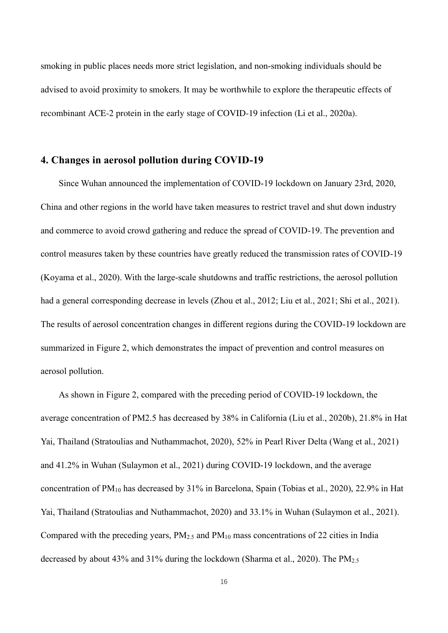smoking in public places needs more strict legislation, and non-smoking individuals should be advised to avoid proximity to smokers. It may be worthwhile to explore the therapeutic effects of recombinant ACE-2 protein in the early stage of COVID-19 infection (Li et al., 2020a).

# **4. Changes in aerosol pollution during COVID-19**

Since Wuhan announced the implementation of COVID-19 lockdown on January 23rd, 2020, China and other regions in the world have taken measures to restrict travel and shut down industry and commerce to avoid crowd gathering and reduce the spread of COVID-19. The prevention and control measures taken by these countries have greatly reduced the transmission rates of COVID-19 (Koyama et al., 2020). With the large-scale shutdowns and traffic restrictions, the aerosol pollution had a general corresponding decrease in levels (Zhou et al., 2012; Liu et al., 2021; Shi et al., 2021). The results of aerosol concentration changes in different regions during the COVID-19 lockdown are summarized in Figure 2, which demonstrates the impact of prevention and control measures on aerosol pollution.

As shown in Figure 2, compared with the preceding period of COVID-19 lockdown, the average concentration of PM2.5 has decreased by 38% in California (Liu et al., 2020b), 21.8% in Hat Yai, Thailand (Stratoulias and Nuthammachot, 2020), 52% in Pearl River Delta (Wang et al., 2021) and 41.2% in Wuhan (Sulaymon et al., 2021) during COVID-19 lockdown, and the average concentration of PM10 has decreased by 31% in Barcelona, Spain (Tobias et al., 2020), 22.9% in Hat Yai, Thailand (Stratoulias and Nuthammachot, 2020) and 33.1% in Wuhan (Sulaymon et al., 2021). Compared with the preceding years,  $PM_{2.5}$  and  $PM_{10}$  mass concentrations of 22 cities in India decreased by about 43% and 31% during the lockdown (Sharma et al., 2020). The PM2.5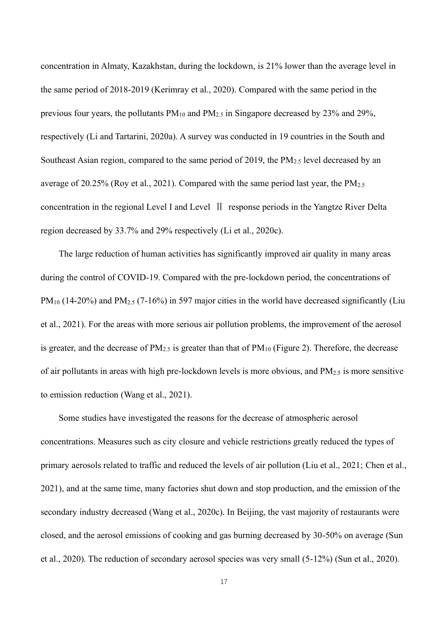concentration in Almaty, Kazakhstan, during the lockdown, is 21% lower than the average level in the same period of 2018-2019 (Kerimray et al., 2020). Compared with the same period in the previous four years, the pollutants PM10 and PM2.5 in Singapore decreased by 23% and 29%, respectively (Li and Tartarini, 2020a). A survey was conducted in 19 countries in the South and Southeast Asian region, compared to the same period of 2019, the  $PM_{2.5}$  level decreased by an average of 20.25% (Roy et al., 2021). Compared with the same period last year, the  $PM_{2.5}$ concentration in the regional Level I and Level II response periods in the Yangtze River Delta region decreased by 33.7% and 29% respectively (Li et al., 2020c).

The large reduction of human activities has significantly improved air quality in many areas during the control of COVID-19. Compared with the pre-lockdown period, the concentrations of PM<sub>10</sub> (14-20%) and PM<sub>2.5</sub> (7-16%) in 597 major cities in the world have decreased significantly (Liu et al., 2021). For the areas with more serious air pollution problems, the improvement of the aerosol is greater, and the decrease of  $PM_{2.5}$  is greater than that of  $PM_{10}$  (Figure 2). Therefore, the decrease of air pollutants in areas with high pre-lockdown levels is more obvious, and PM2.5 is more sensitive to emission reduction (Wang et al., 2021).

Some studies have investigated the reasons for the decrease of atmospheric aerosol concentrations. Measures such as city closure and vehicle restrictions greatly reduced the types of primary aerosols related to traffic and reduced the levels of air pollution (Liu et al., 2021; Chen et al., 2021), and at the same time, many factories shut down and stop production, and the emission of the secondary industry decreased (Wang et al., 2020c). In Beijing, the vast majority of restaurants were closed, and the aerosol emissions of cooking and gas burning decreased by 30-50% on average (Sun et al., 2020). The reduction of secondary aerosol species was very small (5-12%) (Sun et al., 2020).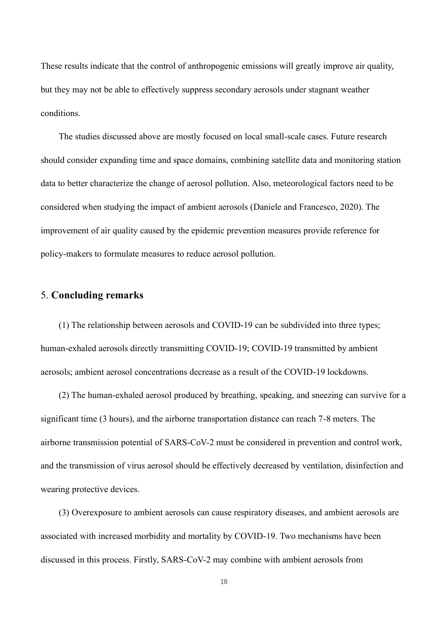These results indicate that the control of anthropogenic emissions will greatly improve air quality, but they may not be able to effectively suppress secondary aerosols under stagnant weather conditions.

The studies discussed above are mostly focused on local small-scale cases. Future research should consider expanding time and space domains, combining satellite data and monitoring station data to better characterize the change of aerosol pollution. Also, meteorological factors need to be considered when studying the impact of ambient aerosols [\(Daniele and Francesco, 2020\)](#page-21-0). The improvement of air quality caused by the epidemic prevention measures provide reference for policy-makers to formulate measures to reduce aerosol pollution.

# 5. **Concluding remarks**

(1) The relationship between aerosols and COVID-19 can be subdivided into three types; human-exhaled aerosols directly transmitting COVID-19; COVID-19 transmitted by ambient aerosols; ambient aerosol concentrations decrease as a result of the COVID-19 lockdowns.

(2) The human-exhaled aerosol produced by breathing, speaking, and sneezing can survive for a significant time (3 hours), and the airborne transportation distance can reach 7-8 meters. The airborne transmission potential of SARS-CoV-2 must be considered in prevention and control work, and the transmission of virus aerosol should be effectively decreased by ventilation, disinfection and wearing protective devices.

(3) Overexposure to ambient aerosols can cause respiratory diseases, and ambient aerosols are associated with increased morbidity and mortality by COVID-19. Two mechanisms have been discussed in this process. Firstly, SARS-CoV-2 may combine with ambient aerosols from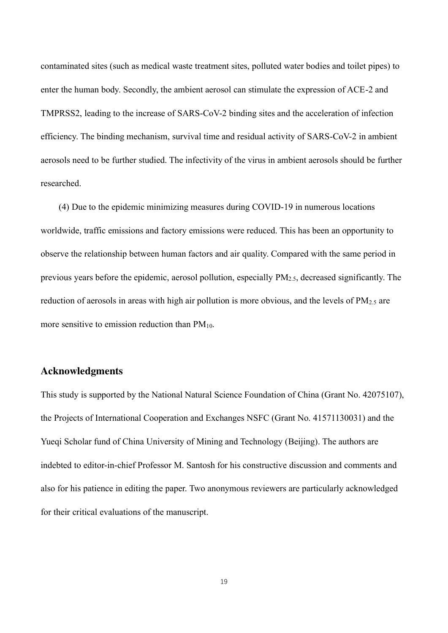contaminated sites (such as medical waste treatment sites, polluted water bodies and toilet pipes) to enter the human body. Secondly, the ambient aerosol can stimulate the expression of ACE-2 and TMPRSS2, leading to the increase of SARS-CoV-2 binding sites and the acceleration of infection efficiency. The binding mechanism, survival time and residual activity of SARS-CoV-2 in ambient aerosols need to be further studied. The infectivity of the virus in ambient aerosols should be further researched.

(4) Due to the epidemic minimizing measures during COVID-19 in numerous locations worldwide, traffic emissions and factory emissions were reduced. This has been an opportunity to observe the relationship between human factors and air quality. Compared with the same period in previous years before the epidemic, aerosol pollution, especially PM2.5, decreased significantly. The reduction of aerosols in areas with high air pollution is more obvious, and the levels of  $PM<sub>2.5</sub>$  are more sensitive to emission reduction than  $PM_{10}$ .

## **Acknowledgments**

This study is supported by the National Natural Science Foundation of China (Grant No. 42075107), the Projects of International Cooperation and Exchanges NSFC (Grant No. 41571130031) and the Yueqi Scholar fund of China University of Mining and Technology (Beijing). The authors are indebted to editor-in-chief Professor M. Santosh for his constructive discussion and comments and also for his patience in editing the paper. Two anonymous reviewers are particularly acknowledged for their critical evaluations of the manuscript.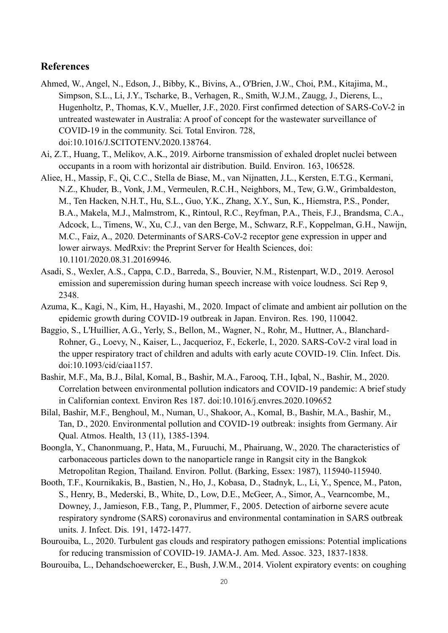# **References**

- Ahmed, W., Angel, N., Edson, J., Bibby, K., Bivins, A., O'Brien, J.W., Choi, P.M., Kitajima, M., Simpson, S.L., Li, J.Y., Tscharke, B., Verhagen, R., Smith, W.J.M., Zaugg, J., Dierens, L., Hugenholtz, P., Thomas, K.V., Mueller, J.F., 2020. First confirmed detection of SARS-CoV-2 in untreated wastewater in Australia: A proof of concept for the wastewater surveillance of COVID-19 in the community. Sci. Total Environ. 728, doi:10.1016/J.SCITOTENV.2020.138764.
- Ai, Z.T., Huang, T., Melikov, A.K., 2019. Airborne transmission of exhaled droplet nuclei between occupants in a room with horizontal air distribution. Build. Environ. 163, 106528.
- Aliee, H., Massip, F., Qi, C.C., Stella de Biase, M., van Nijnatten, J.L., Kersten, E.T.G., Kermani, N.Z., Khuder, B., Vonk, J.M., Vermeulen, R.C.H., Neighbors, M., Tew, G.W., Grimbaldeston, M., Ten Hacken, N.H.T., Hu, S.L., Guo, Y.K., Zhang, X.Y., Sun, K., Hiemstra, P.S., Ponder, B.A., Makela, M.J., Malmstrom, K., Rintoul, R.C., Reyfman, P.A., Theis, F.J., Brandsma, C.A., Adcock, L., Timens, W., Xu, C.J., van den Berge, M., Schwarz, R.F., Koppelman, G.H., Nawijn, M.C., Faiz, A., 2020. Determinants of SARS-CoV-2 receptor gene expression in upper and lower airways. MedRxiv: the Preprint Server for Health Sciences, doi: 10.1101/2020.08.31.20169946.
- Asadi, S., Wexler, A.S., Cappa, C.D., Barreda, S., Bouvier, N.M., Ristenpart, W.D., 2019. Aerosol emission and superemission during human speech increase with voice loudness. Sci Rep 9, 2348.
- Azuma, K., Kagi, N., Kim, H., Hayashi, M., 2020. Impact of climate and ambient air pollution on the epidemic growth during COVID-19 outbreak in Japan. Environ. Res. 190, 110042.
- Baggio, S., L'Huillier, A.G., Yerly, S., Bellon, M., Wagner, N., Rohr, M., Huttner, A., Blanchard-Rohner, G., Loevy, N., Kaiser, L., Jacquerioz, F., Eckerle, I., 2020. SARS-CoV-2 viral load in the upper respiratory tract of children and adults with early acute COVID-19. Clin. Infect. Dis. doi:10.1093/cid/ciaa1157.
- Bashir, M.F., Ma, B.J., Bilal, Komal, B., Bashir, M.A., Farooq, T.H., Iqbal, N., Bashir, M., 2020. Correlation between environmental pollution indicators and COVID-19 pandemic: A brief study in Californian context. Environ Res 187. doi:10.1016/j.envres.2020.109652
- Bilal, Bashir, M.F., Benghoul, M., Numan, U., Shakoor, A., Komal, B., Bashir, M.A., Bashir, M., Tan, D., 2020. Environmental pollution and COVID-19 outbreak: insights from Germany. Air Qual. Atmos. Health, 13 (11), 1385-1394.
- Boongla, Y., Chanonmuang, P., Hata, M., Furuuchi, M., Phairuang, W., 2020. The characteristics of carbonaceous particles down to the nanoparticle range in Rangsit city in the Bangkok Metropolitan Region, Thailand. Environ. Pollut. (Barking, Essex: 1987), 115940-115940.
- <span id="page-20-0"></span>Booth, T.F., Kournikakis, B., Bastien, N., Ho, J., Kobasa, D., Stadnyk, L., Li, Y., Spence, M., Paton, S., Henry, B., Mederski, B., White, D., Low, D.E., McGeer, A., Simor, A., Vearncombe, M., Downey, J., Jamieson, F.B., Tang, P., Plummer, F., 2005. Detection of airborne severe acute respiratory syndrome (SARS) coronavirus and environmental contamination in SARS outbreak units. J. Infect. Dis. 191, 1472-1477.
- Bourouiba, L., 2020. Turbulent gas clouds and respiratory pathogen emissions: Potential implications for reducing transmission of COVID-19. JAMA-J. Am. Med. Assoc. 323, 1837-1838.
- Bourouiba, L., Dehandschoewercker, E., Bush, J.W.M., 2014. Violent expiratory events: on coughing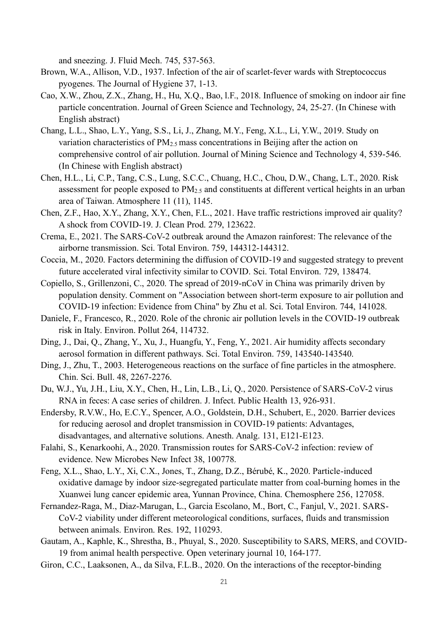and sneezing. J. Fluid Mech. 745, 537-563.

- Brown, W.A., Allison, V.D., 1937. Infection of the air of scarlet-fever wards with Streptococcus pyogenes. The Journal of Hygiene 37, 1-13.
- Cao, X.W., Zhou, Z.X., Zhang, H., Hu, X.Q., Bao, l.F., 2018. Influence of smoking on indoor air fine particle concentration. Journal of Green Science and Technology, 24, 25-27. (In Chinese with English abstract)
- Chang, L.L., Shao, L.Y., Yang, S.S., Li, J., Zhang, M.Y., Feng, X.L., Li, Y.W., 2019. Study on variation characteristics of  $PM<sub>2.5</sub>$  mass concentrations in Beijing after the action on comprehensive control of air pollution. Journal of Mining Science and Technology 4, 539-546. (In Chinese with English abstract)
- Chen, H.L., Li, C.P., Tang, C.S., Lung, S.C.C., Chuang, H.C., Chou, D.W., Chang, L.T., 2020. Risk assessment for people exposed to PM2.5 and constituents at different vertical heights in an urban area of Taiwan. Atmosphere 11 (11), 1145.
- Chen, Z.F., Hao, X.Y., Zhang, X.Y., Chen, F.L., 2021. Have traffic restrictions improved air quality? A shock from COVID-19. J. Clean Prod. 279, 123622.
- Crema, E., 2021. The SARS-CoV-2 outbreak around the Amazon rainforest: The relevance of the airborne transmission. Sci. Total Environ. 759, 144312-144312.
- Coccia, M., 2020. Factors determining the diffusion of COVID-19 and suggested strategy to prevent future accelerated viral infectivity similar to COVID. Sci. Total Environ. 729, 138474.
- Copiello, S., Grillenzoni, C., 2020. The spread of 2019-nCoV in China was primarily driven by population density. Comment on "Association between short-term exposure to air pollution and COVID-19 infection: Evidence from China" by Zhu et al. Sci. Total Environ. 744, 141028.
- <span id="page-21-0"></span>Daniele, F., Francesco, R., 2020. Role of the chronic air pollution levels in the COVID-19 outbreak risk in Italy. Environ. Pollut 264, 114732.
- Ding, J., Dai, Q., Zhang, Y., Xu, J., Huangfu, Y., Feng, Y., 2021. Air humidity affects secondary aerosol formation in different pathways. Sci. Total Environ. 759, 143540-143540.
- Ding, J., Zhu, T., 2003. Heterogeneous reactions on the surface of fine particles in the atmosphere. Chin. Sci. Bull. 48, 2267-2276.
- Du, W.J., Yu, J.H., Liu, X.Y., Chen, H., Lin, L.B., Li, Q., 2020. Persistence of SARS-CoV-2 virus RNA in feces: A case series of children. J. Infect. Public Health 13, 926-931.
- Endersby, R.V.W., Ho, E.C.Y., Spencer, A.O., Goldstein, D.H., Schubert, E., 2020. Barrier devices for reducing aerosol and droplet transmission in COVID-19 patients: Advantages, disadvantages, and alternative solutions. Anesth. Analg. 131, E121-E123.
- Falahi, S., Kenarkoohi, A., 2020. Transmission routes for SARS-CoV-2 infection: review of evidence. New Microbes New Infect 38, 100778.
- Feng, X.L., Shao, L.Y., Xi, C.X., Jones, T., Zhang, D.Z., Bérubé, K., 2020. Particle-induced oxidative damage by indoor size-segregated particulate matter from coal-burning homes in the Xuanwei lung cancer epidemic area, Yunnan Province, China. Chemosphere 256, 127058.
- Fernandez-Raga, M., Diaz-Marugan, L., Garcia Escolano, M., Bort, C., Fanjul, V., 2021. SARS-CoV-2 viability under different meteorological conditions, surfaces, fluids and transmission between animals. Environ. Res. 192, 110293.
- Gautam, A., Kaphle, K., Shrestha, B., Phuyal, S., 2020. Susceptibility to SARS, MERS, and COVID-19 from animal health perspective. Open veterinary journal 10, 164-177.
- Giron, C.C., Laaksonen, A., da Silva, F.L.B., 2020. On the interactions of the receptor-binding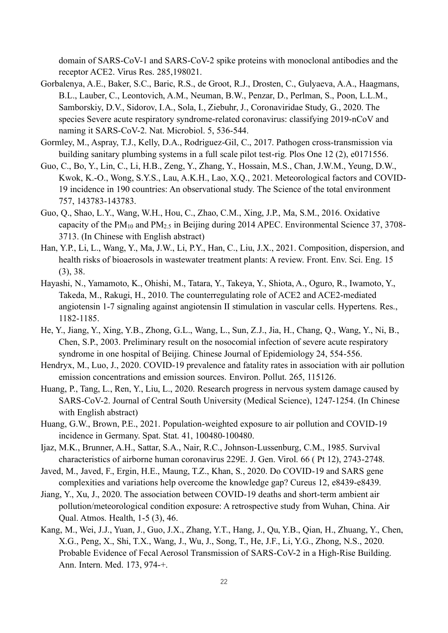domain of SARS-CoV-1 and SARS-CoV-2 spike proteins with monoclonal antibodies and the receptor ACE2. Virus Res. 285,198021.

- Gorbalenya, A.E., Baker, S.C., Baric, R.S., de Groot, R.J., Drosten, C., Gulyaeva, A.A., Haagmans, B.L., Lauber, C., Leontovich, A.M., Neuman, B.W., Penzar, D., Perlman, S., Poon, L.L.M., Samborskiy, D.V., Sidorov, I.A., Sola, I., Ziebuhr, J., Coronaviridae Study, G., 2020. The species Severe acute respiratory syndrome-related coronavirus: classifying 2019-nCoV and naming it SARS-CoV-2. Nat. Microbiol. 5, 536-544.
- Gormley, M., Aspray, T.J., Kelly, D.A., Rodriguez-Gil, C., 2017. Pathogen cross-transmission via building sanitary plumbing systems in a full scale pilot test-rig. Plos One 12 (2), e0171556.
- Guo, C., Bo, Y., Lin, C., Li, H.B., Zeng, Y., Zhang, Y., Hossain, M.S., Chan, J.W.M., Yeung, D.W., Kwok, K.-O., Wong, S.Y.S., Lau, A.K.H., Lao, X.Q., 2021. Meteorological factors and COVID-19 incidence in 190 countries: An observational study. The Science of the total environment 757, 143783-143783.
- Guo, Q., Shao, L.Y., Wang, W.H., Hou, C., Zhao, C.M., Xing, J.P., Ma, S.M., 2016. Oxidative capacity of the PM10 and PM2.5 in Beijing during 2014 APEC. Environmental Science 37, 3708- 3713. (In Chinese with English abstract)
- Han, Y.P., Li, L., Wang, Y., Ma, J.W., Li, P.Y., Han, C., Liu, J.X., 2021. Composition, dispersion, and health risks of bioaerosols in wastewater treatment plants: A review. Front. Env. Sci. Eng. 15 (3), 38.
- Hayashi, N., Yamamoto, K., Ohishi, M., Tatara, Y., Takeya, Y., Shiota, A., Oguro, R., Iwamoto, Y., Takeda, M., Rakugi, H., 2010. The counterregulating role of ACE2 and ACE2-mediated angiotensin 1-7 signaling against angiotensin II stimulation in vascular cells. Hypertens. Res., 1182-1185.
- He, Y., Jiang, Y., Xing, Y.B., Zhong, G.L., Wang, L., Sun, Z.J., Jia, H., Chang, Q., Wang, Y., Ni, B., Chen, S.P., 2003. Preliminary result on the nosocomial infection of severe acute respiratory syndrome in one hospital of Beijing. Chinese Journal of Epidemiology 24, 554-556.
- Hendryx, M., Luo, J., 2020. COVID-19 prevalence and fatality rates in association with air pollution emission concentrations and emission sources. Environ. Pollut. 265, 115126.
- Huang, P., Tang, L., Ren, Y., Liu, L., 2020. Research progress in nervous system damage caused by SARS-CoV-2. Journal of Central South University (Medical Science), 1247-1254. (In Chinese with English abstract)
- Huang, G.W., Brown, P.E., 2021. Population-weighted exposure to air pollution and COVID-19 incidence in Germany. Spat. Stat. 41, 100480-100480.
- Ijaz, M.K., Brunner, A.H., Sattar, S.A., Nair, R.C., Johnson-Lussenburg, C.M., 1985. Survival characteristics of airborne human coronavirus 229E. J. Gen. Virol. 66 ( Pt 12), 2743-2748.
- Javed, M., Javed, F., Ergin, H.E., Maung, T.Z., Khan, S., 2020. Do COVID-19 and SARS gene complexities and variations help overcome the knowledge gap? Cureus 12, e8439-e8439.
- Jiang, Y., Xu, J., 2020. The association between COVID-19 deaths and short-term ambient air pollution/meteorological condition exposure: A retrospective study from Wuhan, China. Air Qual. Atmos. Health, 1-5 (3), 46.
- Kang, M., Wei, J.J., Yuan, J., Guo, J.X., Zhang, Y.T., Hang, J., Qu, Y.B., Qian, H., Zhuang, Y., Chen, X.G., Peng, X., Shi, T.X., Wang, J., Wu, J., Song, T., He, J.F., Li, Y.G., Zhong, N.S., 2020. Probable Evidence of Fecal Aerosol Transmission of SARS-CoV-2 in a High-Rise Building. Ann. Intern. Med. 173, 974-+.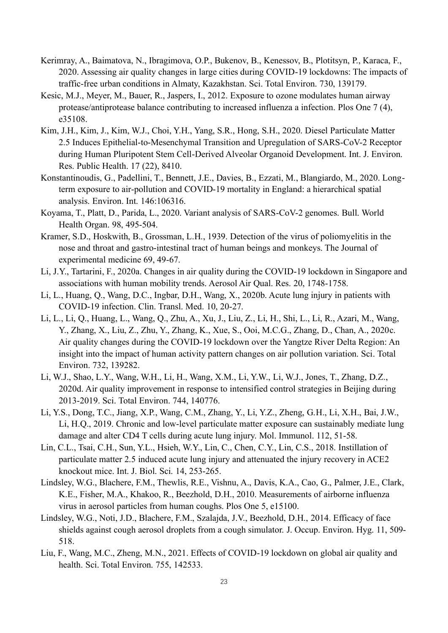- Kerimray, A., Baimatova, N., Ibragimova, O.P., Bukenov, B., Kenessov, B., Plotitsyn, P., Karaca, F., 2020. Assessing air quality changes in large cities during COVID-19 lockdowns: The impacts of traffic-free urban conditions in Almaty, Kazakhstan. Sci. Total Environ. 730, 139179.
- Kesic, M.J., Meyer, M., Bauer, R., Jaspers, I., 2012. Exposure to ozone modulates human airway protease/antiprotease balance contributing to increased influenza a infection. Plos One 7 (4), e35108.
- Kim, J.H., Kim, J., Kim, W.J., Choi, Y.H., Yang, S.R., Hong, S.H., 2020. Diesel Particulate Matter 2.5 Induces Epithelial-to-Mesenchymal Transition and Upregulation of SARS-CoV-2 Receptor during Human Pluripotent Stem Cell-Derived Alveolar Organoid Development. Int. J. Environ. Res. Public Health. 17 (22), 8410.
- Konstantinoudis, G., Padellini, T., Bennett, J.E., Davies, B., Ezzati, M., Blangiardo, M., 2020. Longterm exposure to air-pollution and COVID-19 mortality in England: a hierarchical spatial analysis. Environ. Int. 146:106316.
- Koyama, T., Platt, D., Parida, L., 2020. Variant analysis of SARS-CoV-2 genomes. Bull. World Health Organ. 98, 495-504.
- Kramer, S.D., Hoskwith, B., Grossman, L.H., 1939. Detection of the virus of poliomyelitis in the nose and throat and gastro-intestinal tract of human beings and monkeys. The Journal of experimental medicine 69, 49-67.
- Li, J.Y., Tartarini, F., 2020a. Changes in air quality during the COVID-19 lockdown in Singapore and associations with human mobility trends. Aerosol Air Qual. Res. 20, 1748-1758.
- Li, L., Huang, Q., Wang, D.C., Ingbar, D.H., Wang, X., 2020b. Acute lung injury in patients with COVID-19 infection. Clin. Transl. Med. 10, 20-27.
- Li, L., Li, Q., Huang, L., Wang, Q., Zhu, A., Xu, J., Liu, Z., Li, H., Shi, L., Li, R., Azari, M., Wang, Y., Zhang, X., Liu, Z., Zhu, Y., Zhang, K., Xue, S., Ooi, M.C.G., Zhang, D., Chan, A., 2020c. Air quality changes during the COVID-19 lockdown over the Yangtze River Delta Region: An insight into the impact of human activity pattern changes on air pollution variation. Sci. Total Environ. 732, 139282.
- Li, W.J., Shao, L.Y., Wang, W.H., Li, H., Wang, X.M., Li, Y.W., Li, W.J., Jones, T., Zhang, D.Z., 2020d. Air quality improvement in response to intensified control strategies in Beijing during 2013-2019. Sci. Total Environ. 744, 140776.
- Li, Y.S., Dong, T.C., Jiang, X.P., Wang, C.M., Zhang, Y., Li, Y.Z., Zheng, G.H., Li, X.H., Bai, J.W., Li, H.Q., 2019. Chronic and low-level particulate matter exposure can sustainably mediate lung damage and alter CD4 T cells during acute lung injury. Mol. Immunol. 112, 51-58.
- Lin, C.L., Tsai, C.H., Sun, Y.L., Hsieh, W.Y., Lin, C., Chen, C.Y., Lin, C.S., 2018. Instillation of particulate matter 2.5 induced acute lung injury and attenuated the injury recovery in ACE2 knockout mice. Int. J. Biol. Sci. 14, 253-265.
- Lindsley, W.G., Blachere, F.M., Thewlis, R.E., Vishnu, A., Davis, K.A., Cao, G., Palmer, J.E., Clark, K.E., Fisher, M.A., Khakoo, R., Beezhold, D.H., 2010. Measurements of airborne influenza virus in aerosol particles from human coughs. Plos One 5, e15100.
- Lindsley, W.G., Noti, J.D., Blachere, F.M., Szalajda, J.V., Beezhold, D.H., 2014. Efficacy of face shields against cough aerosol droplets from a cough simulator. J. Occup. Environ. Hyg. 11, 509- 518.
- Liu, F., Wang, M.C., Zheng, M.N., 2021. Effects of COVID-19 lockdown on global air quality and health. Sci. Total Environ. 755, 142533.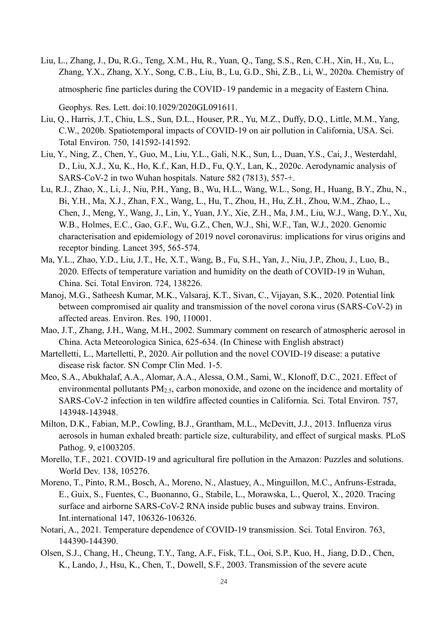Liu, L., Zhang, J., Du, R.G., Teng, X.M., Hu, R., Yuan, Q., Tang, S.S., Ren, C.H., Xin, H., Xu, L., Zhang, Y.X., Zhang, X.Y., Song, C.B., Liu, B., Lu, G.D., Shi, Z.B., Li, W., 2020a. Chemistry of atmospheric fine particles during the COVID‐19 pandemic in a megacity of Eastern China.

Geophys. Res. Lett. doi:10.1029/2020GL091611.

- Liu, Q., Harris, J.T., Chiu, L.S., Sun, D.L., Houser, P.R., Yu, M.Z., Duffy, D.Q., Little, M.M., Yang, C.W., 2020b. Spatiotemporal impacts of COVID-19 on air pollution in California, USA. Sci. Total Environ. 750, 141592-141592.
- Liu, Y., Ning, Z., Chen, Y., Guo, M., Liu, Y.L., Gali, N.K., Sun, L., Duan, Y.S., Cai, J., Westerdahl, D., Liu, X.J., Xu, K., Ho, K.f., Kan, H.D., Fu, Q.Y., Lan, K., 2020c. Aerodynamic analysis of SARS-CoV-2 in two Wuhan hospitals. Nature 582 (7813), 557-+.
- Lu, R.J., Zhao, X., Li, J., Niu, P.H., Yang, B., Wu, H.L., Wang, W.L., Song, H., Huang, B.Y., Zhu, N., Bi, Y.H., Ma, X.J., Zhan, F.X., Wang, L., Hu, T., Zhou, H., Hu, Z.H., Zhou, W.M., Zhao, L., Chen, J., Meng, Y., Wang, J., Lin, Y., Yuan, J.Y., Xie, Z.H., Ma, J.M., Liu, W.J., Wang, D.Y., Xu, W.B., Holmes, E.C., Gao, G.F., Wu, G.Z., Chen, W.J., Shi, W.F., Tan, W.J., 2020. Genomic characterisation and epidemiology of 2019 novel coronavirus: implications for virus origins and receptor binding. Lancet 395, 565-574.
- Ma, Y.L., Zhao, Y.D., Liu, J.T., He, X.T., Wang, B., Fu, S.H., Yan, J., Niu, J.P., Zhou, J., Luo, B., 2020. Effects of temperature variation and humidity on the death of COVID-19 in Wuhan, China. Sci. Total Environ. 724, 138226.
- Manoj, M.G., Satheesh Kumar, M.K., Valsaraj, K.T., Sivan, C., Vijayan, S.K., 2020. Potential link between compromised air quality and transmission of the novel corona virus (SARS-CoV-2) in affected areas. Environ. Res. 190, 110001.
- Mao, J.T., Zhang, J.H., Wang, M.H., 2002. Summary comment on research of atmospheric aerosol in China. Acta Meteorologica Sinica, 625-634. (In Chinese with English abstract)
- Martelletti, L., Martelletti, P., 2020. Air pollution and the novel COVID-19 disease: a putative disease risk factor. SN Compr Clin Med. 1-5.
- Meo, S.A., Abukhalaf, A.A., Alomar, A.A., Alessa, O.M., Sami, W., Klonoff, D.C., 2021. Effect of environmental pollutants PM<sub>2.5</sub>, carbon monoxide, and ozone on the incidence and mortality of SARS-CoV-2 infection in ten wildfire affected counties in California. Sci. Total Environ. 757, 143948-143948.
- Milton, D.K., Fabian, M.P., Cowling, B.J., Grantham, M.L., McDevitt, J.J., 2013. Influenza virus aerosols in human exhaled breath: particle size, culturability, and effect of surgical masks. PLoS Pathog. 9, e1003205.
- Morello, T.F., 2021. COVID-19 and agricultural fire pollution in the Amazon: Puzzles and solutions. World Dev. 138, 105276.
- Moreno, T., Pinto, R.M., Bosch, A., Moreno, N., Alastuey, A., Minguillon, M.C., Anfruns-Estrada, E., Guix, S., Fuentes, C., Buonanno, G., Stabile, L., Morawska, L., Querol, X., 2020. Tracing surface and airborne SARS-CoV-2 RNA inside public buses and subway trains. Environ. Int.international 147, 106326-106326.
- Notari, A., 2021. Temperature dependence of COVID-19 transmission. Sci. Total Environ. 763, 144390-144390.
- Olsen, S.J., Chang, H., Cheung, T.Y., Tang, A.F., Fisk, T.L., Ooi, S.P., Kuo, H., Jiang, D.D., Chen, K., Lando, J., Hsu, K., Chen, T., Dowell, S.F., 2003. Transmission of the severe acute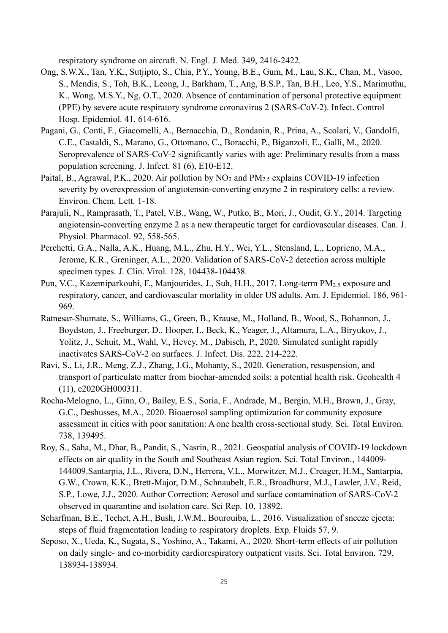respiratory syndrome on aircraft. N. Engl. J. Med. 349, 2416-2422.

- Ong, S.W.X., Tan, Y.K., Sutjipto, S., Chia, P.Y., Young, B.E., Gum, M., Lau, S.K., Chan, M., Vasoo, S., Mendis, S., Toh, B.K., Leong, J., Barkham, T., Ang, B.S.P., Tan, B.H., Leo, Y.S., Marimuthu, K., Wong, M.S.Y., Ng, O.T., 2020. Absence of contamination of personal protective equipment (PPE) by severe acute respiratory syndrome coronavirus 2 (SARS-CoV-2). Infect. Control Hosp. Epidemiol. 41, 614-616.
- Pagani, G., Conti, F., Giacomelli, A., Bernacchia, D., Rondanin, R., Prina, A., Scolari, V., Gandolfi, C.E., Castaldi, S., Marano, G., Ottomano, C., Boracchi, P., Biganzoli, E., Galli, M., 2020. Seroprevalence of SARS-CoV-2 significantly varies with age: Preliminary results from a mass population screening. J. Infect. 81 (6), E10-E12.
- Paital, B., Agrawal, P.K., 2020. Air pollution by  $NO_2$  and  $PM_{2.5}$  explains COVID-19 infection severity by overexpression of angiotensin-converting enzyme 2 in respiratory cells: a review. Environ. Chem. Lett. 1-18.
- Parajuli, N., Ramprasath, T., Patel, V.B., Wang, W., Putko, B., Mori, J., Oudit, G.Y., 2014. Targeting angiotensin-converting enzyme 2 as a new therapeutic target for cardiovascular diseases. Can. J. Physiol. Pharmacol. 92, 558-565.
- Perchetti, G.A., Nalla, A.K., Huang, M.L., Zhu, H.Y., Wei, Y.L., Stensland, L., Loprieno, M.A., Jerome, K.R., Greninger, A.L., 2020. Validation of SARS-CoV-2 detection across multiple specimen types. J. Clin. Virol. 128, 104438-104438.
- Pun, V.C., Kazemiparkouhi, F., Manjourides, J., Suh, H.H., 2017. Long-term PM<sub>2.5</sub> exposure and respiratory, cancer, and cardiovascular mortality in older US adults. Am. J. Epidemiol. 186, 961- 969.
- Ratnesar-Shumate, S., Williams, G., Green, B., Krause, M., Holland, B., Wood, S., Bohannon, J., Boydston, J., Freeburger, D., Hooper, I., Beck, K., Yeager, J., Altamura, L.A., Biryukov, J., Yolitz, J., Schuit, M., Wahl, V., Hevey, M., Dabisch, P., 2020. Simulated sunlight rapidly inactivates SARS-CoV-2 on surfaces. J. Infect. Dis. 222, 214-222.
- Ravi, S., Li, J.R., Meng, Z.J., Zhang, J.G., Mohanty, S., 2020. Generation, resuspension, and transport of particulate matter from biochar-amended soils: a potential health risk. Geohealth 4 (11), e2020GH000311.
- Rocha-Melogno, L., Ginn, O., Bailey, E.S., Soria, F., Andrade, M., Bergin, M.H., Brown, J., Gray, G.C., Deshusses, M.A., 2020. Bioaerosol sampling optimization for community exposure assessment in cities with poor sanitation: A one health cross-sectional study. Sci. Total Environ. 738, 139495.
- Roy, S., Saha, M., Dhar, B., Pandit, S., Nasrin, R., 2021. Geospatial analysis of COVID-19 lockdown effects on air quality in the South and Southeast Asian region. Sci. Total Environ., 144009- 144009.Santarpia, J.L., Rivera, D.N., Herrera, V.L., Morwitzer, M.J., Creager, H.M., Santarpia, G.W., Crown, K.K., Brett-Major, D.M., Schnaubelt, E.R., Broadhurst, M.J., Lawler, J.V., Reid, S.P., Lowe, J.J., 2020. Author Correction: Aerosol and surface contamination of SARS-CoV-2 observed in quarantine and isolation care. Sci Rep. 10, 13892.
- Scharfman, B.E., Techet, A.H., Bush, J.W.M., Bourouiba, L., 2016. Visualization of sneeze ejecta: steps of fluid fragmentation leading to respiratory droplets. Exp. Fluids 57, 9.
- Seposo, X., Ueda, K., Sugata, S., Yoshino, A., Takami, A., 2020. Short-term effects of air pollution on daily single- and co-morbidity cardiorespiratory outpatient visits. Sci. Total Environ. 729, 138934-138934.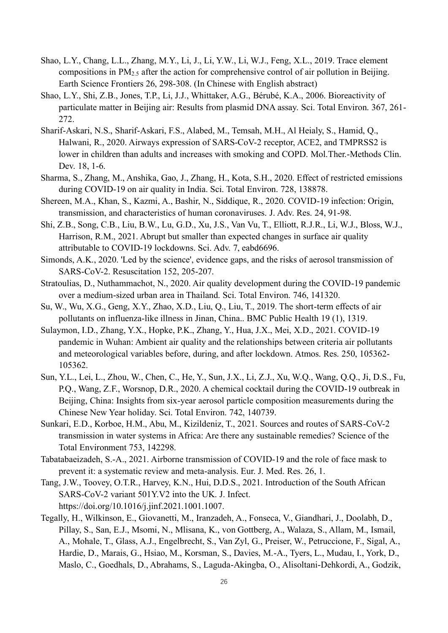- Shao, L.Y., Chang, L.L., Zhang, M.Y., Li, J., Li, Y.W., Li, W.J., Feng, X.L., 2019. Trace element compositions in PM2.5 after the action for comprehensive control of air pollution in Beijing. Earth Science Frontiers 26, 298-308. (In Chinese with English abstract)
- Shao, L.Y., Shi, Z.B., Jones, T.P., Li, J.J., Whittaker, A.G., Bérubé, K.A., 2006. Bioreactivity of particulate matter in Beijing air: Results from plasmid DNA assay. Sci. Total Environ. 367, 261- 272.
- Sharif-Askari, N.S., Sharif-Askari, F.S., Alabed, M., Temsah, M.H., Al Heialy, S., Hamid, Q., Halwani, R., 2020. Airways expression of SARS-CoV-2 receptor, ACE2, and TMPRSS2 is lower in children than adults and increases with smoking and COPD. Mol.Ther.-Methods Clin. Dev. 18, 1-6.
- Sharma, S., Zhang, M., Anshika, Gao, J., Zhang, H., Kota, S.H., 2020. Effect of restricted emissions during COVID-19 on air quality in India. Sci. Total Environ. 728, 138878.
- Shereen, M.A., Khan, S., Kazmi, A., Bashir, N., Siddique, R., 2020. COVID-19 infection: Origin, transmission, and characteristics of human coronaviruses. J. Adv. Res. 24, 91-98.
- Shi, Z.B., Song, C.B., Liu, B.W., Lu, G.D., Xu, J.S., Van Vu, T., Elliott, R.J.R., Li, W.J., Bloss, W.J., Harrison, R.M., 2021. Abrupt but smaller than expected changes in surface air quality attributable to COVID-19 lockdowns. Sci. Adv. 7, eabd6696.
- Simonds, A.K., 2020. 'Led by the science', evidence gaps, and the risks of aerosol transmission of SARS-CoV-2. Resuscitation 152, 205-207.
- Stratoulias, D., Nuthammachot, N., 2020. Air quality development during the COVID-19 pandemic over a medium-sized urban area in Thailand. Sci. Total Environ. 746, 141320.
- Su, W., Wu, X.G., Geng, X.Y., Zhao, X.D., Liu, Q., Liu, T., 2019. The short-term effects of air pollutants on influenza-like illness in Jinan, China.. BMC Public Health 19 (1), 1319.
- Sulaymon, I.D., Zhang, Y.X., Hopke, P.K., Zhang, Y., Hua, J.X., Mei, X.D., 2021. COVID-19 pandemic in Wuhan: Ambient air quality and the relationships between criteria air pollutants and meteorological variables before, during, and after lockdown. Atmos. Res. 250, 105362- 105362.
- Sun, Y.L., Lei, L., Zhou, W., Chen, C., He, Y., Sun, J.X., Li, Z.J., Xu, W.Q., Wang, Q.Q., Ji, D.S., Fu, P.Q., Wang, Z.F., Worsnop, D.R., 2020. A chemical cocktail during the COVID-19 outbreak in Beijing, China: Insights from six-year aerosol particle composition measurements during the Chinese New Year holiday. Sci. Total Environ. 742, 140739.
- Sunkari, E.D., Korboe, H.M., Abu, M., Kizildeniz, T., 2021. Sources and routes of SARS-CoV-2 transmission in water systems in Africa: Are there any sustainable remedies? Science of the Total Environment 753, 142298.
- Tabatabaeizadeh, S.-A., 2021. Airborne transmission of COVID-19 and the role of face mask to prevent it: a systematic review and meta-analysis. Eur. J. Med. Res. 26, 1.
- Tang, J.W., Toovey, O.T.R., Harvey, K.N., Hui, D.D.S., 2021. Introduction of the South African SARS-CoV-2 variant 501Y.V2 into the UK. J. Infect. [https://doi.org/10.1016/j.jinf.2021.1001.1007.](https://doi.org/10.1016/j.jinf.2021.1001.1007)
- Tegally, H., Wilkinson, E., Giovanetti, M., Iranzadeh, A., Fonseca, V., Giandhari, J., Doolabh, D., Pillay, S., San, E.J., Msomi, N., Mlisana, K., von Gottberg, A., Walaza, S., Allam, M., Ismail, A., Mohale, T., Glass, A.J., Engelbrecht, S., Van Zyl, G., Preiser, W., Petruccione, F., Sigal, A., Hardie, D., Marais, G., Hsiao, M., Korsman, S., Davies, M.-A., Tyers, L., Mudau, I., York, D., Maslo, C., Goedhals, D., Abrahams, S., Laguda-Akingba, O., Alisoltani-Dehkordi, A., Godzik,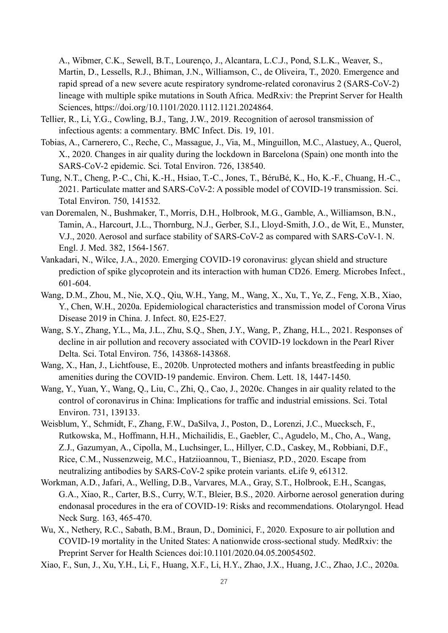A., Wibmer, C.K., Sewell, B.T., Lourenço, J., Alcantara, L.C.J., Pond, S.L.K., Weaver, S., Martin, D., Lessells, R.J., Bhiman, J.N., Williamson, C., de Oliveira, T., 2020. Emergence and rapid spread of a new severe acute respiratory syndrome-related coronavirus 2 (SARS-CoV-2) lineage with multiple spike mutations in South Africa. MedRxiv: the Preprint Server for Health Sciences, https://doi.org/10.1101/2020.1112.1121.2024864.

- Tellier, R., Li, Y.G., Cowling, B.J., Tang, J.W., 2019. Recognition of aerosol transmission of infectious agents: a commentary. BMC Infect. Dis. 19, 101.
- Tobias, A., Carnerero, C., Reche, C., Massague, J., Via, M., Minguillon, M.C., Alastuey, A., Querol, X., 2020. Changes in air quality during the lockdown in Barcelona (Spain) one month into the SARS-CoV-2 epidemic. Sci. Total Environ. 726, 138540.
- Tung, N.T., Cheng, P.-C., Chi, K.-H., Hsiao, T.-C., Jones, T., BéruBé, K., Ho, K.-F., Chuang, H.-C., 2021. Particulate matter and SARS-CoV-2: A possible model of COVID-19 transmission. Sci. Total Environ. 750, 141532.
- van Doremalen, N., Bushmaker, T., Morris, D.H., Holbrook, M.G., Gamble, A., Williamson, B.N., Tamin, A., Harcourt, J.L., Thornburg, N.J., Gerber, S.I., Lloyd-Smith, J.O., de Wit, E., Munster, V.J., 2020. Aerosol and surface stability of SARS-CoV-2 as compared with SARS-CoV-1. N. Engl. J. Med. 382, 1564-1567.
- Vankadari, N., Wilce, J.A., 2020. Emerging COVID-19 coronavirus: glycan shield and structure prediction of spike glycoprotein and its interaction with human CD26. Emerg. Microbes Infect., 601-604.
- Wang, D.M., Zhou, M., Nie, X.Q., Qiu, W.H., Yang, M., Wang, X., Xu, T., Ye, Z., Feng, X.B., Xiao, Y., Chen, W.H., 2020a. Epidemiological characteristics and transmission model of Corona Virus Disease 2019 in China. J. Infect. 80, E25-E27.
- Wang, S.Y., Zhang, Y.L., Ma, J.L., Zhu, S.Q., Shen, J.Y., Wang, P., Zhang, H.L., 2021. Responses of decline in air pollution and recovery associated with COVID-19 lockdown in the Pearl River Delta. Sci. Total Environ. 756, 143868-143868.
- Wang, X., Han, J., Lichtfouse, E., 2020b. Unprotected mothers and infants breastfeeding in public amenities during the COVID-19 pandemic. Environ. Chem. Lett. 18, 1447-1450.
- Wang, Y., Yuan, Y., Wang, Q., Liu, C., Zhi, Q., Cao, J., 2020c. Changes in air quality related to the control of coronavirus in China: Implications for traffic and industrial emissions. Sci. Total Environ. 731, 139133.
- Weisblum, Y., Schmidt, F., Zhang, F.W., DaSilva, J., Poston, D., Lorenzi, J.C., Muecksch, F., Rutkowska, M., Hoffmann, H.H., Michailidis, E., Gaebler, C., Agudelo, M., Cho, A., Wang, Z.J., Gazumyan, A., Cipolla, M., Luchsinger, L., Hillyer, C.D., Caskey, M., Robbiani, D.F., Rice, C.M., Nussenzweig, M.C., Hatziioannou, T., Bieniasz, P.D., 2020. Escape from neutralizing antibodies by SARS-CoV-2 spike protein variants. eLife 9, e61312.
- Workman, A.D., Jafari, A., Welling, D.B., Varvares, M.A., Gray, S.T., Holbrook, E.H., Scangas, G.A., Xiao, R., Carter, B.S., Curry, W.T., Bleier, B.S., 2020. Airborne aerosol generation during endonasal procedures in the era of COVID-19: Risks and recommendations. Otolaryngol. Head Neck Surg. 163, 465-470.
- Wu, X., Nethery, R.C., Sabath, B.M., Braun, D., Dominici, F., 2020. Exposure to air pollution and COVID-19 mortality in the United States: A nationwide cross-sectional study. MedRxiv: the Preprint Server for Health Sciences doi:10.1101/2020.04.05.20054502.
- Xiao, F., Sun, J., Xu, Y.H., Li, F., Huang, X.F., Li, H.Y., Zhao, J.X., Huang, J.C., Zhao, J.C., 2020a.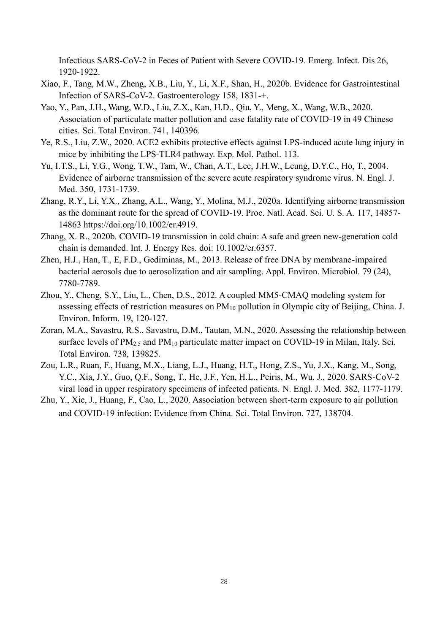Infectious SARS-CoV-2 in Feces of Patient with Severe COVID-19. Emerg. Infect. Dis 26, 1920-1922.

- Xiao, F., Tang, M.W., Zheng, X.B., Liu, Y., Li, X.F., Shan, H., 2020b. Evidence for Gastrointestinal Infection of SARS-CoV-2. Gastroenterology 158, 1831-+.
- Yao, Y., Pan, J.H., Wang, W.D., Liu, Z.X., Kan, H.D., Qiu, Y., Meng, X., Wang, W.B., 2020. Association of particulate matter pollution and case fatality rate of COVID-19 in 49 Chinese cities. Sci. Total Environ. 741, 140396.
- <span id="page-28-0"></span>Ye, R.S., Liu, Z.W., 2020. ACE2 exhibits protective effects against LPS-induced acute lung injury in mice by inhibiting the LPS-TLR4 pathway. Exp. Mol. Pathol. 113.
- Yu, I.T.S., Li, Y.G., Wong, T.W., Tam, W., Chan, A.T., Lee, J.H.W., Leung, D.Y.C., Ho, T., 2004. Evidence of airborne transmission of the severe acute respiratory syndrome virus. N. Engl. J. Med. 350, 1731-1739.
- Zhang, R.Y., Li, Y.X., Zhang, A.L., Wang, Y., Molina, M.J., 2020a. Identifying airborne transmission as the dominant route for the spread of COVID-19. Proc. Natl. Acad. Sci. U. S. A. 117, 14857- 14863 https://doi.org/10.1002/er.4919.
- Zhang, X. R., 2020b. COVID-19 transmission in cold chain: A safe and green new-generation cold chain is demanded. Int. J. Energy Res. doi: 10.1002/er.6357.
- Zhen, H.J., Han, T., E, F.D., Gediminas, M., 2013. Release of free DNA by membrane-impaired bacterial aerosols due to aerosolization and air sampling. Appl. Environ. Microbiol. 79 (24), 7780-7789.
- Zhou, Y., Cheng, S.Y., Liu, L., Chen, D.S., 2012. A coupled MM5-CMAQ modeling system for assessing effects of restriction measures on PM<sub>10</sub> pollution in Olympic city of Beijing, China. J. Environ. Inform. 19, 120-127.
- Zoran, M.A., Savastru, R.S., Savastru, D.M., Tautan, M.N., 2020. Assessing the relationship between surface levels of  $PM_{2.5}$  and  $PM_{10}$  particulate matter impact on COVID-19 in Milan, Italy. Sci. Total Environ. 738, 139825.
- Zou, L.R., Ruan, F., Huang, M.X., Liang, L.J., Huang, H.T., Hong, Z.S., Yu, J.X., Kang, M., Song, Y.C., Xia, J.Y., Guo, Q.F., Song, T., He, J.F., Yen, H.L., Peiris, M., Wu, J., 2020. SARS-CoV-2 viral load in upper respiratory specimens of infected patients. N. Engl. J. Med. 382, 1177-1179.
- Zhu, Y., Xie, J., Huang, F., Cao, L., 2020. Association between short-term exposure to air pollution and COVID-19 infection: Evidence from China. Sci. Total Environ. 727, 138704.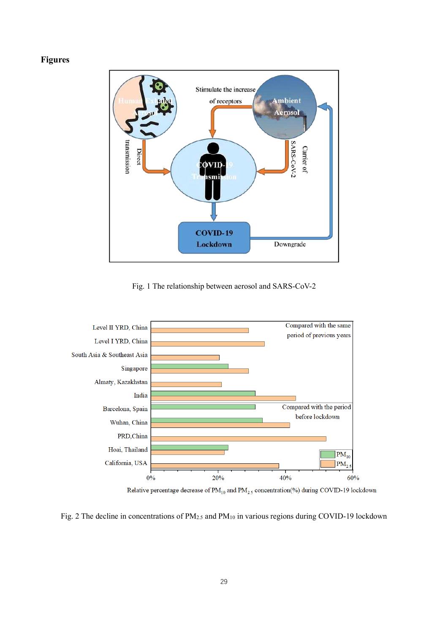#### **Figures**



Fig. 1 The relationship between aerosol and SARS-CoV-2



Relative percentage decrease of  $\text{PM}_{10}$  and  $\text{PM}_{2.5}$  concentration(%) during COVID-19 lockdown

Fig. 2 The decline in concentrations of PM<sub>2.5</sub> and PM<sub>10</sub> in various regions during COVID-19 lockdown